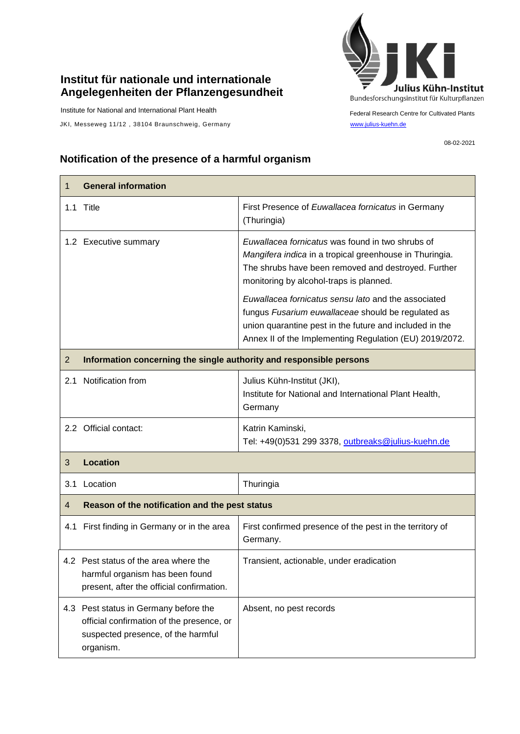## **Institut für nationale und internationale Angelegenheiten der Pflanzengesundheit**

Institute for National and International Plant Health

 $\mathsf{r}$ 

JKI, Messeweg 11/12, 38104 Braunschweig, Germany [www.julius-kuehn.de](http://www.julius-kuehn.de/)



Federal Research Centre for Cultivated Plants

08-02-2021

## **Notification of the presence of a harmful organism**

| $\mathbf{1}$   | <b>General information</b>                                                                                                            |                                                                                                                                                                                                                                 |  |
|----------------|---------------------------------------------------------------------------------------------------------------------------------------|---------------------------------------------------------------------------------------------------------------------------------------------------------------------------------------------------------------------------------|--|
|                | 1.1 Title                                                                                                                             | First Presence of Euwallacea fornicatus in Germany<br>(Thuringia)                                                                                                                                                               |  |
|                | 1.2 Executive summary                                                                                                                 | Euwallacea fornicatus was found in two shrubs of<br>Mangifera indica in a tropical greenhouse in Thuringia.<br>The shrubs have been removed and destroyed. Further<br>monitoring by alcohol-traps is planned.                   |  |
|                |                                                                                                                                       | Euwallacea fornicatus sensu lato and the associated<br>fungus Fusarium euwallaceae should be regulated as<br>union quarantine pest in the future and included in the<br>Annex II of the Implementing Regulation (EU) 2019/2072. |  |
| $\overline{2}$ | Information concerning the single authority and responsible persons                                                                   |                                                                                                                                                                                                                                 |  |
| 2.1            | Notification from                                                                                                                     | Julius Kühn-Institut (JKI),<br>Institute for National and International Plant Health,<br>Germany                                                                                                                                |  |
|                | 2.2 Official contact:                                                                                                                 | Katrin Kaminski,<br>Tel: +49(0)531 299 3378, outbreaks@julius-kuehn.de                                                                                                                                                          |  |
| 3              | <b>Location</b>                                                                                                                       |                                                                                                                                                                                                                                 |  |
| 3.1            | Location                                                                                                                              | Thuringia                                                                                                                                                                                                                       |  |
| $\overline{4}$ | Reason of the notification and the pest status                                                                                        |                                                                                                                                                                                                                                 |  |
|                | 4.1 First finding in Germany or in the area                                                                                           | First confirmed presence of the pest in the territory of<br>Germany.                                                                                                                                                            |  |
|                | 4.2 Pest status of the area where the<br>harmful organism has been found<br>present, after the official confirmation.                 | Transient, actionable, under eradication                                                                                                                                                                                        |  |
|                | 4.3 Pest status in Germany before the<br>official confirmation of the presence, or<br>suspected presence, of the harmful<br>organism. | Absent, no pest records                                                                                                                                                                                                         |  |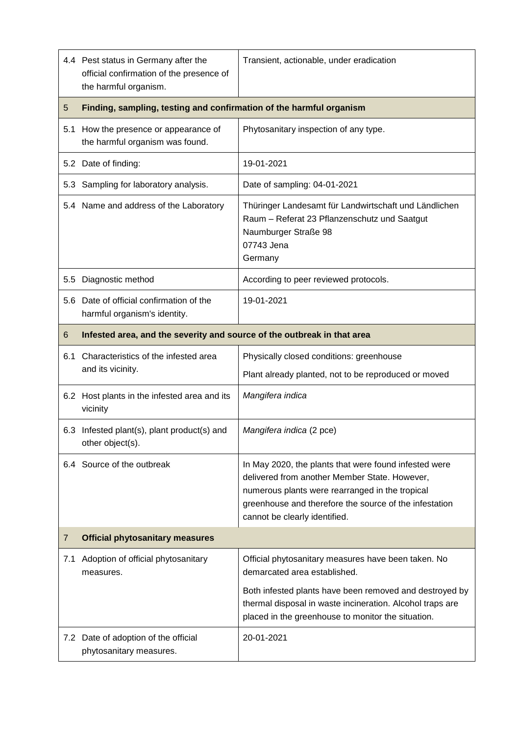|     | 4.4 Pest status in Germany after the<br>official confirmation of the presence of<br>the harmful organism. | Transient, actionable, under eradication                                                                                                                                                                                                             |  |
|-----|-----------------------------------------------------------------------------------------------------------|------------------------------------------------------------------------------------------------------------------------------------------------------------------------------------------------------------------------------------------------------|--|
| 5   | Finding, sampling, testing and confirmation of the harmful organism                                       |                                                                                                                                                                                                                                                      |  |
| 5.1 | How the presence or appearance of<br>the harmful organism was found.                                      | Phytosanitary inspection of any type.                                                                                                                                                                                                                |  |
|     | 5.2 Date of finding:                                                                                      | 19-01-2021                                                                                                                                                                                                                                           |  |
|     | 5.3 Sampling for laboratory analysis.                                                                     | Date of sampling: 04-01-2021                                                                                                                                                                                                                         |  |
|     | 5.4 Name and address of the Laboratory                                                                    | Thüringer Landesamt für Landwirtschaft und Ländlichen<br>Raum - Referat 23 Pflanzenschutz und Saatgut<br>Naumburger Straße 98<br>07743 Jena<br>Germany                                                                                               |  |
| 5.5 | Diagnostic method                                                                                         | According to peer reviewed protocols.                                                                                                                                                                                                                |  |
| 5.6 | Date of official confirmation of the<br>harmful organism's identity.                                      | 19-01-2021                                                                                                                                                                                                                                           |  |
| 6   | Infested area, and the severity and source of the outbreak in that area                                   |                                                                                                                                                                                                                                                      |  |
| 6.1 | Characteristics of the infested area                                                                      | Physically closed conditions: greenhouse                                                                                                                                                                                                             |  |
|     | and its vicinity.                                                                                         | Plant already planted, not to be reproduced or moved                                                                                                                                                                                                 |  |
|     | 6.2 Host plants in the infested area and its<br>vicinity                                                  | Mangifera indica                                                                                                                                                                                                                                     |  |
|     | 6.3 Infested plant(s), plant product(s) and<br>other object(s).                                           | Mangifera indica (2 pce)                                                                                                                                                                                                                             |  |
|     | 6.4 Source of the outbreak                                                                                | In May 2020, the plants that were found infested were<br>delivered from another Member State. However,<br>numerous plants were rearranged in the tropical<br>greenhouse and therefore the source of the infestation<br>cannot be clearly identified. |  |
| 7   | <b>Official phytosanitary measures</b>                                                                    |                                                                                                                                                                                                                                                      |  |
| 7.1 | Adoption of official phytosanitary<br>measures.                                                           | Official phytosanitary measures have been taken. No<br>demarcated area established.                                                                                                                                                                  |  |
|     |                                                                                                           | Both infested plants have been removed and destroyed by<br>thermal disposal in waste incineration. Alcohol traps are<br>placed in the greenhouse to monitor the situation.                                                                           |  |
|     | 7.2 Date of adoption of the official<br>phytosanitary measures.                                           | 20-01-2021                                                                                                                                                                                                                                           |  |